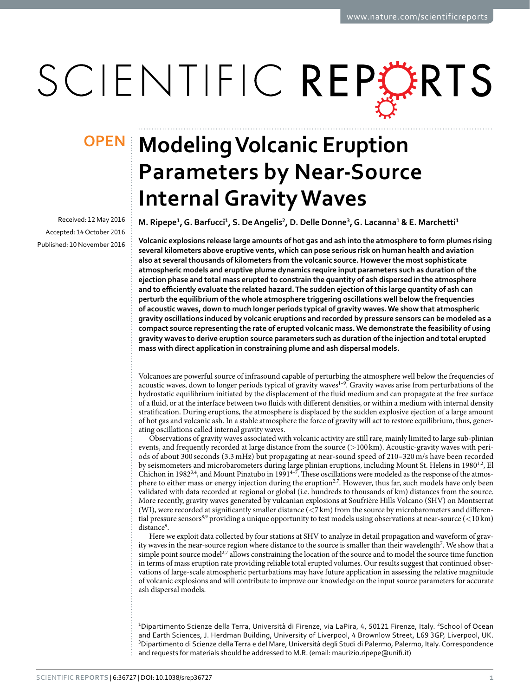# SCIENTIFIC REPERTS

Received: 12 May 2016 accepted: 14 October 2016 Published: 10 November 2016

## **OPEN** Modeling Volcanic Eruption **Parameters by Near-Source Internal Gravity Waves**

**M. Ripepe<sup>1</sup>, G. Barfucci<sup>1</sup>, S. De Angelis<sup>2</sup>, D. Delle Donne<sup>3</sup>, G. Lacanna<sup>1</sup> & E. Marchetti<sup>1</sup>**

**Volcanic explosions release large amounts of hot gas and ash into the atmosphere to form plumes rising several kilometers above eruptive vents, which can pose serious risk on human health and aviation also at several thousands of kilometers from the volcanic source. However the most sophisticate atmospheric models and eruptive plume dynamics require input parameters such as duration of the ejection phase and total mass erupted to constrain the quantity of ash dispersed in the atmosphere and to efficiently evaluate the related hazard. The sudden ejection of this large quantity of ash can perturb the equilibrium of the whole atmosphere triggering oscillations well below the frequencies of acoustic waves, down to much longer periods typical of gravity waves. We show that atmospheric gravity oscillations induced by volcanic eruptions and recorded by pressure sensors can be modeled as a compact source representing the rate of erupted volcanic mass. We demonstrate the feasibility of using gravity waves to derive eruption source parameters such as duration of the injection and total erupted mass with direct application in constraining plume and ash dispersal models.**

Volcanoes are powerful source of infrasound capable of perturbing the atmosphere well below the frequencies of acoustic waves, down to longer periods typical of gravity waves<sup>1-9</sup>. Gravity waves arise from perturbations of the hydrostatic equilibrium initiated by the displacement of the fluid medium and can propagate at the free surface of a fluid, or at the interface between two fluids with different densities, or within a medium with internal density stratification. During eruptions, the atmosphere is displaced by the sudden explosive ejection of a large amount of hot gas and volcanic ash. In a stable atmosphere the force of gravity will act to restore equilibrium, thus, generating oscillations called internal gravity waves.

Observations of gravity waves associated with volcanic activity are still rare, mainly limited to large sub-plinian events, and frequently recorded at large distance from the source  $(>100 \text{ km})$ . Acoustic-gravity waves with periods of about 300 seconds (3.3 mHz) but propagating at near-sound speed of 210–320 m/s have been recorded by seismometers and microbarometers during large plinian eruptions, including Mount St. Helens in 1980<sup>1[,2](#page-6-1)</sup>, El Chichon in 1982<sup>3[,4](#page-6-3)</sup>, and Mount Pinatubo in 1991<sup>4–7</sup>. These oscillations were modeled as the response of the atmos-phere to either mass or energy injection during the eruption<sup>[2](#page-6-1)[,7](#page-6-4)</sup>. However, thus far, such models have only been validated with data recorded at regional or global (i.e. hundreds to thousands of km) distances from the source. More recently, gravity waves generated by vulcanian explosions at Soufrière Hills Volcano (SHV) on Montserrat (WI), were recorded at significantly smaller distance (<7 km) from the source by microbarometers and differen-tial pressure sensors<sup>[8](#page-6-5),[9](#page-6-6)</sup> providing a unique opportunity to test models using observations at near-source (<10 km) distance<sup>9</sup>.

Here we exploit data collected by four stations at SHV to analyze in detail propagation and waveform of grav-ity waves in the near-source region where distance to the source is smaller than their wavelength<sup>[7](#page-6-4)</sup>. We show that a simple point source model<sup>2,[7](#page-6-4)</sup> allows constraining the location of the source and to model the source time function in terms of mass eruption rate providing reliable total erupted volumes. Our results suggest that continued observations of large-scale atmospheric perturbations may have future application in assessing the relative magnitude of volcanic explosions and will contribute to improve our knowledge on the input source parameters for accurate ash dispersal models.

<sup>1</sup>Dipartimento Scienze della Terra, Università di Firenze, via LaPira, 4, 50121 Firenze, Italy. <sup>2</sup>School of Ocean and Earth Sciences, J. Herdman Building, University of Liverpool, 4 Brownlow Street, L69 3GP, Liverpool, UK. 3 Dipartimento di Scienze della Terra e del Mare, Università degli Studi di Palermo, Palermo, Italy. Correspondence and requests for materials should be addressed to M.R. (email: [maurizio.ripepe@unifi.it\)](mailto:maurizio.ripepe@unifi.it)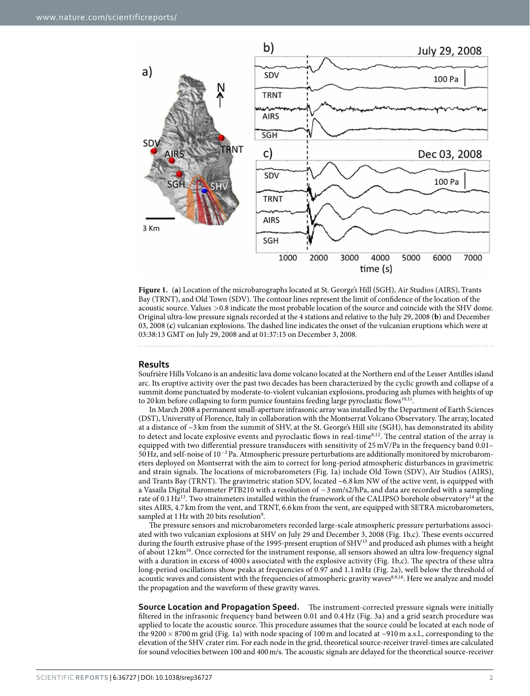

<span id="page-1-0"></span>**Figure 1.** (**a**) Location of the microbarographs located at St. George's Hill (SGH), Air Studios (AIRS), Trants Bay (TRNT), and Old Town (SDV). The contour lines represent the limit of confidence of the location of the acoustic source. Values >0.8 indicate the most probable location of the source and coincide with the SHV dome. Original ultra-low pressure signals recorded at the 4 stations and relative to the July 29, 2008 (**b**) and December 03, 2008 (**c**) vulcanian explosions. The dashed line indicates the onset of the vulcanian eruptions which were at 03:38:13 GMT on July 29, 2008 and at 01:37:15 on December 3, 2008.

#### **Results**

Soufrière Hills Volcano is an andesitic lava dome volcano located at the Northern end of the Lesser Antilles island arc. Its eruptive activity over the past two decades has been characterized by the cyclic growth and collapse of a summit dome punctuated by moderate-to-violent vulcanian explosions, producing ash plumes with heights of up to 20 km before collapsing to form pumice fountains feeding large pyroclastic flows<sup>[10,](#page-6-7)[11](#page-6-8)</sup>

In March 2008 a permanent small-aperture infrasonic array was installed by the Department of Earth Sciences (DST), University of Florence, Italy in collaboration with the Montserrat Volcano Observatory. The array, located at a distance of ~3 km from the summit of SHV, at the St. George's Hill site (SGH), has demonstrated its ability to detect and locate explosive events and pyroclastic flows in real-tim[e8](#page-6-5),[12](#page-6-9). The central station of the array is equipped with two differential pressure transducers with sensitivity of 25 mV/Pa in the frequency band 0.01– 50Hz, and self-noise of 10<sup>−</sup>2Pa. Atmospheric pressure perturbations are additionally monitored by microbarometers deployed on Montserrat with the aim to correct for long-period atmospheric disturbances in gravimetric and strain signals. The locations of microbarometers [\(Fig. 1a\)](#page-1-0) include Old Town (SDV), Air Studios (AIRS), and Trants Bay (TRNT). The gravimetric station SDV, located ~6.8 km NW of the active vent, is equipped with a Vasaila Digital Barometer PTB210 with a resolution of −3nm/s2/hPa, and data are recorded with a sampling rate of 0.1 Hz<sup>[13](#page-6-10)</sup>. Two strainmeters installed within the framework of the CALIPSO borehole observatory<sup>14</sup> at the sites AIRS, 4.7 km from the vent, and TRNT, 6.6 km from the vent, are equipped with SETRA microbarometers, sampled at 1 Hz with 20 bits resolution<sup>9</sup>.

The pressure sensors and microbarometers recorded large-scale atmospheric pressure perturbations associated with two vulcanian explosions at SHV on July 29 and December 3, 2008 ([Fig. 1b,c](#page-1-0)). These events occurred during the fourth extrusive phase of the 1995-present eruption of SHV<sup>15</sup> and produced ash plumes with a height of about 12 k[m16.](#page-6-13) Once corrected for the instrument response, all sensors showed an ultra low-frequency signal with a duration in excess of 4000 s associated with the explosive activity ([Fig. 1b,c\)](#page-1-0). The spectra of these ultra long-period oscillations show peaks at frequencies of 0.97 and 1.1 mHz ([Fig. 2a](#page-2-0)), well below the threshold of acoustic waves and consistent with the frequencies of atmospheric gravity waves<sup>8,[9](#page-6-6),[16](#page-6-13)</sup>. Here we analyze and model the propagation and the waveform of these gravity waves.

**Source Location and Propagation Speed.** The instrument-corrected pressure signals were initially filtered in the infrasonic frequency band between 0.01 and 0.4 Hz [\(Fig. 3a](#page-3-0)) and a grid search procedure was applied to locate the acoustic source. This procedure assumes that the source could be located at each node of the 9200× 8700 m grid ([Fig. 1a](#page-1-0)) with node spacing of 100 m and located at ~910 m a.s.l., corresponding to the elevation of the SHV crater rim. For each node in the grid, theoretical source-receiver travel-times are calculated for sound velocities between 100 and 400m/s. The acoustic signals are delayed for the theoretical source-receiver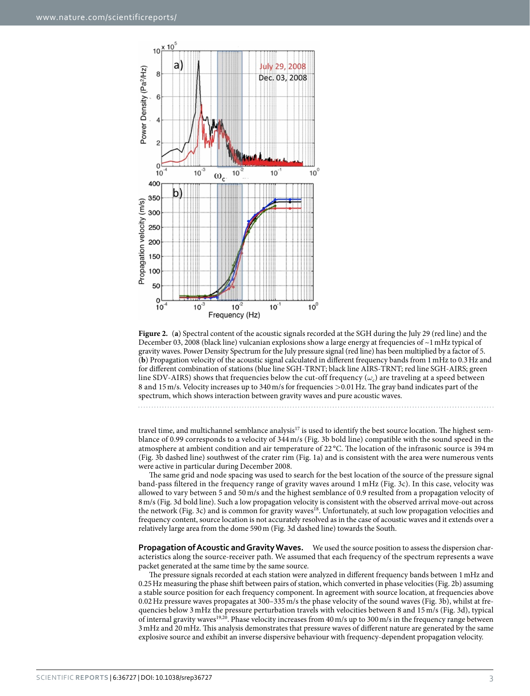

<span id="page-2-0"></span>**Figure 2.** (**a**) Spectral content of the acoustic signals recorded at the SGH during the July 29 (red line) and the December 03, 2008 (black line) vulcanian explosions show a large energy at frequencies of  $\sim$ 1 mHz typical of gravity waves. Power Density Spectrum for the July pressure signal (red line) has been multiplied by a factor of 5. (**b**) Propagation velocity of the acoustic signal calculated in different frequency bands from 1mHz to 0.3Hz and for different combination of stations (blue line SGH-TRNT; black line AIRS-TRNT; red line SGH-AIRS; green line SDV-AIRS) shows that frequencies below the cut-off frequency  $(\omega_c)$  are traveling at a speed between 8 and 15m/s. Velocity increases up to 340m/s for frequencies >0.01Hz. The gray band indicates part of the spectrum, which shows interaction between gravity waves and pure acoustic waves.

travel time, and multichannel semblance analysis<sup>17</sup> is used to identify the best source location. The highest semblance of 0.99 corresponds to a velocity of 344m/s [\(Fig. 3b](#page-3-0) bold line) compatible with the sound speed in the atmosphere at ambient condition and air temperature of 22 °C. The location of the infrasonic source is 394 m ([Fig. 3b](#page-3-0) dashed line) southwest of the crater rim ([Fig. 1a](#page-1-0)) and is consistent with the area were numerous vents were active in particular during December 2008.

The same grid and node spacing was used to search for the best location of the source of the pressure signal band-pass filtered in the frequency range of gravity waves around 1 mHz ([Fig. 3c\)](#page-3-0). In this case, velocity was allowed to vary between 5 and 50 m/s and the highest semblance of 0.9 resulted from a propagation velocity of 8m/s ([Fig. 3d](#page-3-0) bold line). Such a low propagation velocity is consistent with the observed arrival move-out across the network [\(Fig. 3c](#page-3-0)) and is common for gravity waves<sup>[18](#page-6-15)</sup>. Unfortunately, at such low propagation velocities and frequency content, source location is not accurately resolved as in the case of acoustic waves and it extends over a relatively large area from the dome 590m [\(Fig. 3d](#page-3-0) dashed line) towards the South.

**Propagation of Acoustic and Gravity Waves.** We used the source position to assess the dispersion characteristics along the source-receiver path. We assumed that each frequency of the spectrum represents a wave packet generated at the same time by the same source.

The pressure signals recorded at each station were analyzed in different frequency bands between 1mHz and 0.25Hz measuring the phase shift between pairs of station, which converted in phase velocities [\(Fig. 2b](#page-2-0)) assuming a stable source position for each frequency component. In agreement with source location, at frequencies above 0.02Hz pressure waves propagates at 300–335m/s the phase velocity of the sound waves [\(Fig. 3b\)](#page-3-0), whilst at frequencies below 3 mHz the pressure perturbation travels with velocities between 8 and 15 m/s ([Fig. 3d\)](#page-3-0), typical of internal gravity waves<sup>[19](#page-6-16),[20](#page-6-17)</sup>. Phase velocity increases from 40 m/s up to 300 m/s in the frequency range between 3mHz and 20mHz. This analysis demonstrates that pressure waves of different nature are generated by the same explosive source and exhibit an inverse dispersive behaviour with frequency-dependent propagation velocity.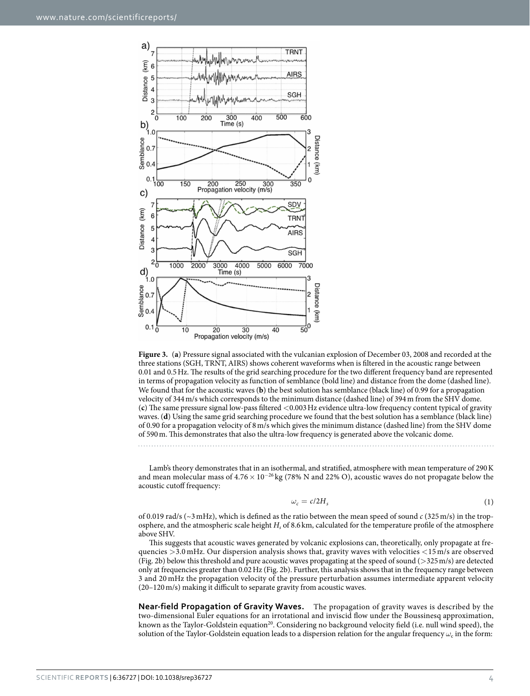

<span id="page-3-0"></span>**Figure 3.** (**a**) Pressure signal associated with the vulcanian explosion of December 03, 2008 and recorded at the three stations (SGH, TRNT, AIRS) shows coherent waveforms when is filtered in the acoustic range between 0.01 and 0.5Hz. The results of the grid searching procedure for the two different frequency band are represented in terms of propagation velocity as function of semblance (bold line) and distance from the dome (dashed line). We found that for the acoustic waves (**b**) the best solution has semblance (black line) of 0.99 for a propagation velocity of 344m/s which corresponds to the minimum distance (dashed line) of 394m from the SHV dome. (**c**) The same pressure signal low-pass filtered <0.003Hz evidence ultra-low frequency content typical of gravity waves. (**d**) Using the same grid searching procedure we found that the best solution has a semblance (black line) of 0.90 for a propagation velocity of 8m/s which gives the minimum distance (dashed line) from the SHV dome of 590m. This demonstrates that also the ultra-low frequency is generated above the volcanic dome.

Lamb's theory demonstrates that in an isothermal, and stratified, atmosphere with mean temperature of 290K and mean molecular mass of  $4.76 \times 10^{-26}$  kg (78% N and 22% O), acoustic waves do not propagate below the acoustic cutoff frequency:

$$
\omega_c = c/2H_s \tag{1}
$$

of 0.019 rad/s (~3mHz), which is defined as the ratio between the mean speed of sound *c* (325m/s) in the troposphere, and the atmospheric scale height *Hs* of 8.6 km, calculated for the temperature profile of the atmosphere above SHV.

This suggests that acoustic waves generated by volcanic explosions can, theoretically, only propagate at frequencies  $>3.0$  mHz. Our dispersion analysis shows that, gravity waves with velocities  $<15$  m/s are observed ([Fig. 2b\)](#page-2-0) below this threshold and pure acoustic waves propagating at the speed of sound (>325m/s) are detected only at frequencies greater than 0.02Hz [\(Fig. 2b](#page-2-0)). Further, this analysis shows that in the frequency range between 3 and 20 mHz the propagation velocity of the pressure perturbation assumes intermediate apparent velocity (20–120m/s) making it difficult to separate gravity from acoustic waves.

**Near-field Propagation of Gravity Waves.** The propagation of gravity waves is described by the two-dimensional Euler equations for an irrotational and inviscid flow under the Boussinesq approximation, known as the Taylor-Goldstein equation<sup>20</sup>. Considering no background velocity field (i.e. null wind speed), the solution of the Taylor-Goldstein equation leads to a dispersion relation for the angular frequency  $\omega_c$  in the form: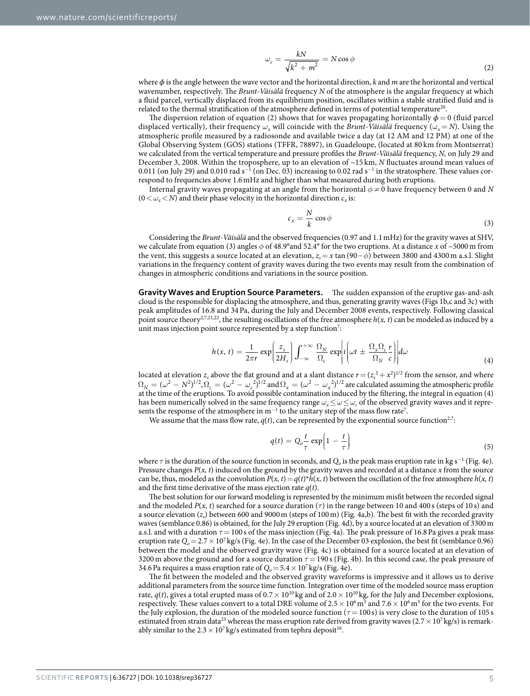$$
\omega_c = \frac{kN}{\sqrt{k^2 + m^2}} = N \cos \phi \tag{2}
$$

where  $\phi$  is the angle between the wave vector and the horizontal direction,  $k$  and  $m$  are the horizontal and vertical wavenumber, respectively. The *Brunt-Väisälä* frequency *N* of the atmosphere is the angular frequency at which a fluid parcel, vertically displaced from its equilibrium position, oscillates within a stable stratified fluid and is related to the thermal stratification of the atmosphere defined in terms of potential temperature<sup>20</sup>.

The dispersion relation of equation (2) shows that for waves propagating horizontally  $\phi = 0$  (fluid parcel displaced vertically), their frequency  $\omega$ <sub>*x*</sub> will coincide with the *Brunt-Väisälä* frequency ( $\omega$ <sub>*x*</sub> = *N*). Using the atmospheric profile measured by a radiosonde and available twice a day (at 12 AM and 12 PM) at one of the Global Observing System (GOS) stations (TFFR, 78897), in Guadeloupe, (located at 80 km from Montserrat) we calculated from the vertical temperature and pressure profiles the *Brunt-Väisälä* frequency, *N,* on July 29 and December 3, 2008. Within the troposphere, up to an elevation of ~15 km, *N* fluctuates around mean values of 0.011 (on July 29) and 0.010 rad s<sup>−1</sup> (on Dec. 03) increasing to 0.02 rad s<sup>−1</sup> in the stratosphere. These values correspond to frequencies above 1.6mHz and higher than what measured during both eruptions.

Internal gravity waves propagating at an angle from the horizontal *φ*≠ 0 have frequency between 0 and *N*  $(0 < \omega_x < N)$  and their phase velocity in the horizontal direction  $c_x$  is:

$$
c_x = \frac{N}{k} \cos \phi \tag{3}
$$

Considering the *Brunt-Väisälä* and the observed frequencies (0.97 and 1.1mHz) for the gravity waves at SHV, we calculate from equation (3) angles  $\phi$  of 48.9°and 52.4° for the two eruptions. At a distance *x* of ~5000 m from the vent, this suggests a source located at an elevation,  $z<sub>s</sub> = x \tan(90-\phi)$  between 3800 and 4300 m a.s.l. Slight variations in the frequency content of gravity waves during the two events may result from the combination of changes in atmospheric conditions and variations in the source position.

**Gravity Waves and Eruption Source Parameters.** The sudden expansion of the eruptive gas-and-ash cloud is the responsible for displacing the atmosphere, and thus, generating gravity waves [\(Figs 1](#page-1-0)b,c and [3c](#page-3-0)) with peak amplitudes of 16.8 and 34Pa, during the July and December 2008 events, respectively. Following classical point source theory<sup>2[,7](#page-6-4),[21](#page-6-18),[22](#page-6-19)</sup>, the resulting oscillations of the free atmosphere  $h(x, t)$  can be modeled as induced by a unit mass injection point source represented by a step function<sup>7</sup>:

$$
h(x, t) = \frac{1}{2\pi r} \exp\left(\frac{z_s}{2H_s}\right) \int_{-\infty}^{+\infty} \frac{\Omega_N}{\Omega_c} \exp\left[i\left(\omega t \pm \frac{\Omega_x \Omega_c}{\Omega_N} \frac{r}{c}\right)\right] d\omega \tag{4}
$$

located at elevation  $z_s$  above the flat ground and at a slant distance  $r = (z_s^2 + x^2)^{1/2}$  $r = (z_s^2 + x^2)^{1/2}$  $r = (z_s^2 + x^2)^{1/2}$  from the sensor, and where  $\Omega_N = (\omega^2 - N^2)^{1/2}, \Omega_c = (\omega^2 - \omega_c^2)^{1/2}$  and  $\Omega_x = (\omega^2 - \omega_x^2)^{1/2}$  are calculated assuming the atmospheric profile at the time of the eruptions. To avoid possible contamination induced by the filtering, the integral in equation (4) has been numerically solved in the same frequency range  $\omega_x \leq \omega \leq \omega_c$  of the observed gravity waves and it represents the response of the atmosphere in  $m^{-1}$  to the unitary step of the mass flow rate<sup>[7](#page-6-4)</sup>.

We assume that the mass flow rate,  $q(t)$ , can be represented by the exponential source function<sup>[2,](#page-6-1)7</sup>:

$$
q(t) = Q_o \frac{t}{\tau} \exp\left(1 - \frac{t}{\tau}\right) \tag{5}
$$

where  $\tau$  is the duration of the source function in seconds, and  $Q_o$  is the peak mass eruption rate in kg s<sup>−1</sup> [\(Fig. 4e](#page-5-0)). Pressure changes *P*(*x, t*) induced on the ground by the gravity waves and recorded at a distance *x* from the source can be, thus, modeled as the convolution  $P(x, t) = q(t)^* h(x, t)$  between the oscillation of the free atmosphere  $h(x, t)$ and the first time derivative of the mass ejection rate  $q(t)$ .

The best solution for our forward modeling is represented by the minimum misfit between the recorded signal and the modeled  $P(x, t)$  searched for a source duration ( $\tau$ ) in the range between 10 and 400 s (steps of 10 s) and a source elevation (*zs*) between 600 and 9000m (steps of 100m) [\(Fig. 4a,b\)](#page-5-0). The best fit with the recorded gravity waves (semblance 0.86) is obtained, for the July 29 eruption ([Fig. 4d\)](#page-5-0), by a source located at an elevation of 3300m a.s.l. and with a duration *τ*=100 s of the mass injection [\(Fig. 4a](#page-5-0)). The peak pressure of 16.8Pa gives a peak mass eruption rate  $Q_0 = 2.7 \times 10^7$  kg/s ([Fig. 4e](#page-5-0)). In the case of the December 03 explosion, the best fit (semblance 0.96) between the model and the observed gravity wave ([Fig. 4c](#page-5-0)) is obtained for a source located at an elevation of 3200 m above the ground and for a source duration  $\tau = 190$  s ([Fig. 4b](#page-5-0)). In this second case, the peak pressure of 34.6 Pa requires a mass eruption rate of  $Q_0 = 5.4 \times 10^7$  kg/s [\(Fig. 4e\)](#page-5-0).

The fit between the modeled and the observed gravity waveforms is impressive and it allows us to derive additional parameters from the source time function. Integration over time of the modeled source mass eruption rate,  $q(t)$ , gives a total erupted mass of  $0.7 \times 10^{10}$  kg and of  $2.0 \times 10^{10}$  kg, for the July and December explosions, respectively. These values convert to a total DRE volume of 2.5  $\times$  10<sup>6</sup> m<sup>3</sup> and 7.6  $\times$  10<sup>6</sup> m<sup>3</sup> for the two events. For the July explosion, the duration of the modeled source function (*τ*= 100 s) is very close to the duration of 105 s estimated from strain data<sup>23</sup> whereas the mass eruption rate derived from gravity waves  $(2.7 \times 10^7 \text{ kg/s})$  is remarkably similar to the 2.3  $\times$  10<sup>7</sup> kg/s estimated from tephra deposit<sup>16</sup>.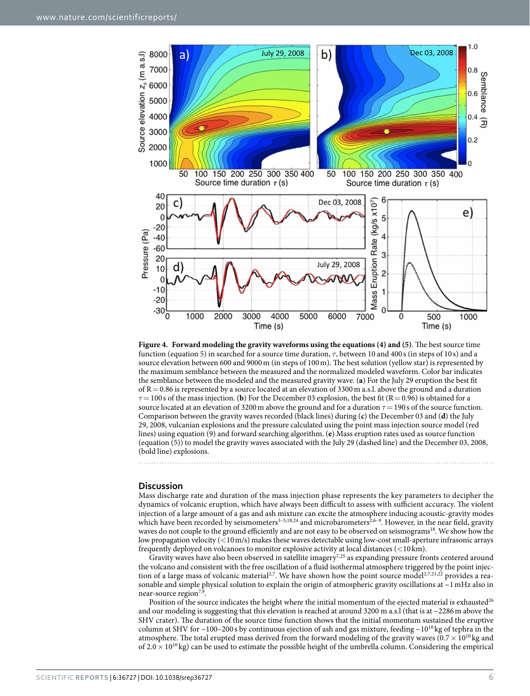

<span id="page-5-0"></span>

#### **Discussion**

Mass discharge rate and duration of the mass injection phase represents the key parameters to decipher the dynamics of volcanic eruption, which have always been difficult to assess with sufficient accuracy. The violent injection of a large amount of a gas and ash mixture can excite the atmosphere inducing acoustic-gravity modes which have been recorded by seismometers<sup>3-5,[18](#page-6-15),[24](#page-6-21)</sup> and microbarometers<sup>2,[6–9](#page-6-22)</sup>. However, in the near field, gravity waves do not couple to the ground efficiently and are not easy to be observed on seismograms<sup>18</sup>. We show how the low propagation velocity (<10m/s) makes these waves detectable using low-cost small-aperture infrasonic arrays frequently deployed on volcanoes to monitor explosive activity at local distances (<10 km).

Gravity waves have also been observed in satellite imagery<sup>7[,25](#page-6-23)</sup> as expanding pressure fronts centered around the volcano and consistent with the free oscillation of a fluid isothermal atmosphere triggered by the point injec-tion of a large mass of volcanic material<sup>[2](#page-6-1)[,7](#page-6-4)</sup>. We have shown how the point source model<sup>2,[7,](#page-6-4)[21,](#page-6-18)22</sup> provides a reasonable and simple physical solution to explain the origin of atmospheric gravity oscillations at ~1 mHz also in near-source region<sup>7[,9](#page-6-6)</sup>

Position of the source indicates the height where the initial momentum of the ejected material is exhausted<sup>26</sup> and our modeling is suggesting that this elevation is reached at around 3200 m a.s.l (that is at ~2286 m above the SHV crater). The duration of the source time function shows that the initial momentum sustained the eruptive column at SHV for ~100–200 s by continuous ejection of ash and gas mixture, feeding ~10<sup>10</sup> kg of tephra in the atmosphere. The total erupted mass derived from the forward modeling of the gravity waves  $(0.7 \times 10^{10} \text{kg}$  and of  $2.0 \times 10^{10}$  kg) can be used to estimate the possible height of the umbrella column. Considering the empirical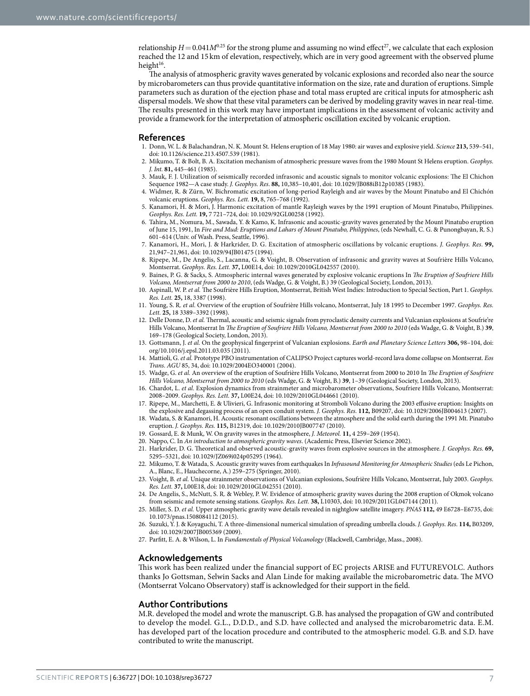relationship  $H=0.041M^{0.25}$  for the strong plume and assuming no wind effect<sup>27</sup>, we calculate that each explosion reached the 12 and 15 km of elevation, respectively, which are in very good agreement with the observed plume height<sup>16</sup>.

The analysis of atmospheric gravity waves generated by volcanic explosions and recorded also near the source by microbarometers can thus provide quantitative information on the size, rate and duration of eruptions. Simple parameters such as duration of the ejection phase and total mass erupted are critical inputs for atmospheric ash dispersal models. We show that these vital parameters can be derived by modeling gravity waves in near real-time. The results presented in this work may have important implications in the assessment of volcanic activity and provide a framework for the interpretation of atmospheric oscillation excited by volcanic eruption.

#### **References**

- <span id="page-6-0"></span>1. Donn, W. L. & Balachandran, N. K. Mount St. Helens eruption of 18 May 1980: air waves and explosive yield. *Science* **213,** 539–541, doi: 10.1126/science.213.4507.539 (1981).
- <span id="page-6-1"></span>2. Mikumo, T. & Bolt, B. A. Excitation mechanism of atmospheric pressure waves from the 1980 Mount St Helens eruption. *Geophys. J. Int.* **81,** 445–461 (1985).
- <span id="page-6-2"></span>3. Mauk, F. J. Utilization of seismically recorded infrasonic and acoustic signals to monitor volcanic explosions: The El Chichon Sequence 1982—A case study. *J. Geophys. Res*. **88,** 10,385–10,401, doi: 10.1029/JB088iB12p10385 (1983).
- <span id="page-6-3"></span>4. Widmer, R. & Zürn, W. Bichromatic excitation of long-period Rayleigh and air waves by the Mount Pinatubo and El Chichón volcanic eruptions. *Geophys. Res. Lett.* **19,** 8, 765–768 (1992).
- 5. Kanamori, H. & Mori, J. Harmonic excitation of mantle Rayleigh waves by the 1991 eruption of Mount Pinatubo, Philippines. *Geophys. Res. Lett.* **19,** 7 721–724, doi: 10.1029/92GL00258 (1992).
- <span id="page-6-22"></span>6. Tahira, M., Nomura, M., Sawada, Y. & Kamo, K. Infrasonic and acoustic-gravity waves generated by the Mount Pinatubo eruption of June 15, 1991, In *Fire and Mud: Eruptions and Lahars of Mount Pinatubo, Philippines*, (eds Newhall, C. G. & Punongbayan, R. S.) 601–614 (Univ. of Wash. Press, Seattle, 1996).
- <span id="page-6-4"></span>7. Kanamori, H., Mori, J. & Harkrider, D. G. Excitation of atmospheric oscillations by volcanic eruptions. *J. Geophys. Res.* **99,** 21,947–21,961, doi: 10.1029/94JB01475 (1994).
- <span id="page-6-5"></span>8. Ripepe, M., De Angelis, S., Lacanna, G. & Voight, B. Observation of infrasonic and gravity waves at Soufrière Hills Volcano, Montserrat. *Geophys. Res. Lett.* **37,** L00E14, doi: 10.1029/2010GL042557 (2010).
- <span id="page-6-6"></span>9. Baines, P. G. & Sacks, S. Atmospheric internal waves generated by explosive volcanic eruptions In *The Eruption of Soufriere Hills Volcano, Montserrat from 2000 to 2010*, (eds Wadge, G. & Voight, B.) 39 (Geological Society, London, 2013).
- <span id="page-6-7"></span>10. Aspinall, W. P. *et al.* The Soufrière Hills Eruption, Montserrat, British West Indies: Introduction to Special Section, Part 1. *Geophys. Res. Lett.* **25,** 18, 3387 (1998).
- <span id="page-6-8"></span>11. Young, S. R. *et al.* Overview of the eruption of Soufrière Hills volcano, Montserrat, July 18 1995 to December 1997. *Geophys. Res. Lett.* **25,** 18 3389–3392 (1998).
- <span id="page-6-9"></span>12. Delle Donne, D. *et al.* Thermal, acoustic and seismic signals from pyroclastic density currents and Vulcanian explosions at Soufrie're Hills Volcano, Montserrat In *The Eruption of Soufriere Hills Volcano, Montserrat from 2000 to 2010* (eds Wadge, G. & Voight, B.) **39**, 169–178 (Geological Society, London, 2013).
- <span id="page-6-10"></span>13. Gottsmann, J. *et al.* On the geophysical fingerprint of Vulcanian explosions. *Earth and Planetary Science Letters* **306,** 98–104, doi: org/10.1016/j.epsl.2011.03.035 (2011).
- <span id="page-6-11"></span>14. Mattioli, G. *et al.* Prototype PBO instrumentation of CALIPSO Project captures world-record lava dome collapse on Montserrat. *Eos Trans. AGU* 85, 34, doi: 10.1029/2004EO340001 (2004).
- <span id="page-6-12"></span>15. Wadge, G. *et al.* An overview of the eruption of Soufrière Hills Volcano, Montserrat from 2000 to 2010 In *The Eruption of Soufriere Hills Volcano, Montserrat from 2000 to 2010* (eds Wadge, G. & Voight, B.) **39**, 1–39 (Geological Society, London, 2013).
- <span id="page-6-13"></span>16. Chardot, L. *et al.* Explosion dynamics from strainmeter and microbarometer observations, Soufriere Hills Volcano, Montserrat: 2008–2009. *Geophys. Res. Lett.* **37,** L00E24, doi: 10.1029/2010GL044661 (2010).
- <span id="page-6-14"></span>17. Ripepe, M., Marchetti, E. & Ulivieri, G. Infrasonic monitoring at Stromboli Volcano during the 2003 effusive eruption: Insights on the explosive and degassing process of an open conduit system. *J. Geophys. Res.* **112,** B09207, doi: 10.1029/2006JB004613 (2007).
- <span id="page-6-15"></span>18. Wadata, S. & Kanamori, H. Acoustic resonant oscillations between the atmosphere and the solid earth during the 1991 Mt. Pinatubo eruption. *J. Geophys. Res.* **115,** B12319, doi: 10.1029/2010JB007747 (2010).
- <span id="page-6-16"></span>19. Gossard, E. & Munk, W. On gravity waves in the atmosphere, *J. Meteorol.* **11,** 4 259–269 (1954).
- <span id="page-6-17"></span>20. Nappo, C. In *An introduction to atmospheric gravity waves*. (Academic Press, Elsevier Science 2002).
- <span id="page-6-18"></span>21. Harkrider, D. G. Theoretical and observed acoustic‐gravity waves from explosive sources in the atmosphere. *J. Geophys. Res.* **69,** 5295–5321, doi: 10.1029/JZ069i024p05295 (1964).
- <span id="page-6-19"></span>22. Mikumo, T. & Watada, S. Acoustic gravity waves from earthquakes In *Infrasound Monitoring for Atmospheric Studies* (eds Le Pichon, A., Blanc, E., Hauchecorne, A.) 259–275 (Springer, 2010).
- <span id="page-6-20"></span>23. Voight, B. *et al.* Unique strainmeter observations of Vulcanian explosions, Soufrière Hills Volcano, Montserrat, July 2003. *Geophys. Res. Lett.* **37,** L00E18, doi: 10.1029/2010GL042551 (2010).
- <span id="page-6-21"></span>24. De Angelis, S., McNutt, S. R. & Webley, P. W. Evidence of atmospheric gravity waves during the 2008 eruption of Okmok volcano from seismic and remote sensing stations. *Geophys. Res. Lett.* **38,** L10303, doi: 10.1029/2011GL047144 (2011).
- <span id="page-6-23"></span>25. Miller, S. D. *et al.* Upper atmospheric gravity wave details revealed in nightglow satellite imagery. *PNAS* **112,** 49 E6728–E6735, doi: 10.1073/pnas.1508084112 (2015).
- <span id="page-6-24"></span>26. Suzuki, Y. J. & Koyaguchi, T. A three-dimensional numerical simulation of spreading umbrella clouds. *J. Geophys. Res.* **114,** B03209, doi: 10.1029/2007JB005369 (2009).
- <span id="page-6-25"></span>27. Parfitt, E. A. & Wilson, L. In *Fundamentals of Physical Volcanology* (Blackwell, Cambridge, Mass., 2008).

#### **Acknowledgements**

This work has been realized under the financial support of EC projects ARISE and FUTUREVOLC. Authors thanks Jo Gottsman, Selwin Sacks and Alan Linde for making available the microbarometric data. The MVO (Montserrat Volcano Observatory) staff is acknowledged for their support in the field.

#### **Author Contributions**

M.R. developed the model and wrote the manuscript. G.B. has analysed the propagation of GW and contributed to develop the model. G.L., D.D.D., and S.D. have collected and analysed the microbarometric data. E.M. has developed part of the location procedure and contributed to the atmospheric model. G.B. and S.D. have contributed to write the manuscript.